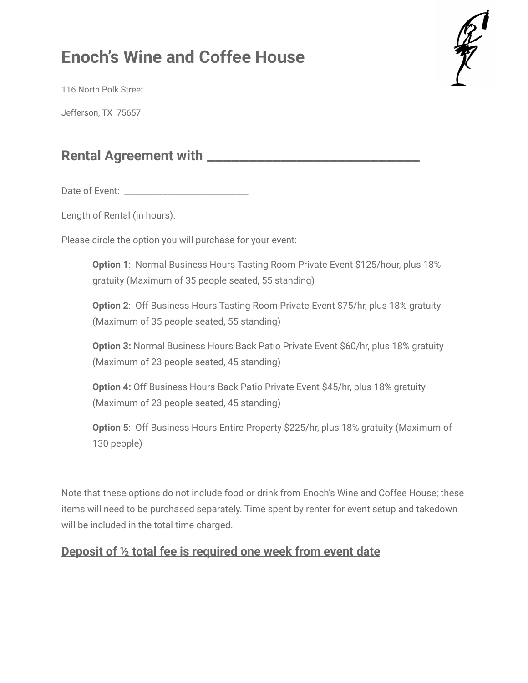## **Enoch's Wine and Coffee House**



116 North Polk Street

Jefferson, TX 75657

## **Rental Agreement with** \_\_\_\_\_\_\_\_\_\_\_\_\_\_\_\_\_\_\_\_\_\_\_\_\_\_

Date of Event: \_\_\_\_\_\_\_\_\_\_\_\_\_\_\_\_\_\_\_\_\_\_\_\_\_\_\_\_\_

Length of Rental (in hours): \_\_\_\_\_\_\_\_\_\_\_\_\_\_\_\_\_\_\_\_\_\_\_\_\_\_\_\_

Please circle the option you will purchase for your event:

**Option 1**: Normal Business Hours Tasting Room Private Event \$125/hour, plus 18% gratuity (Maximum of 35 people seated, 55 standing)

**Option 2**: Off Business Hours Tasting Room Private Event \$75/hr, plus 18% gratuity (Maximum of 35 people seated, 55 standing)

**Option 3:** Normal Business Hours Back Patio Private Event \$60/hr, plus 18% gratuity (Maximum of 23 people seated, 45 standing)

**Option 4:** Off Business Hours Back Patio Private Event \$45/hr, plus 18% gratuity (Maximum of 23 people seated, 45 standing)

**Option 5**: Off Business Hours Entire Property \$225/hr, plus 18% gratuity (Maximum of 130 people)

Note that these options do not include food or drink from Enoch's Wine and Coffee House; these items will need to be purchased separately. Time spent by renter for event setup and takedown will be included in the total time charged.

## **Deposit of ½ total fee is required one week from event date**